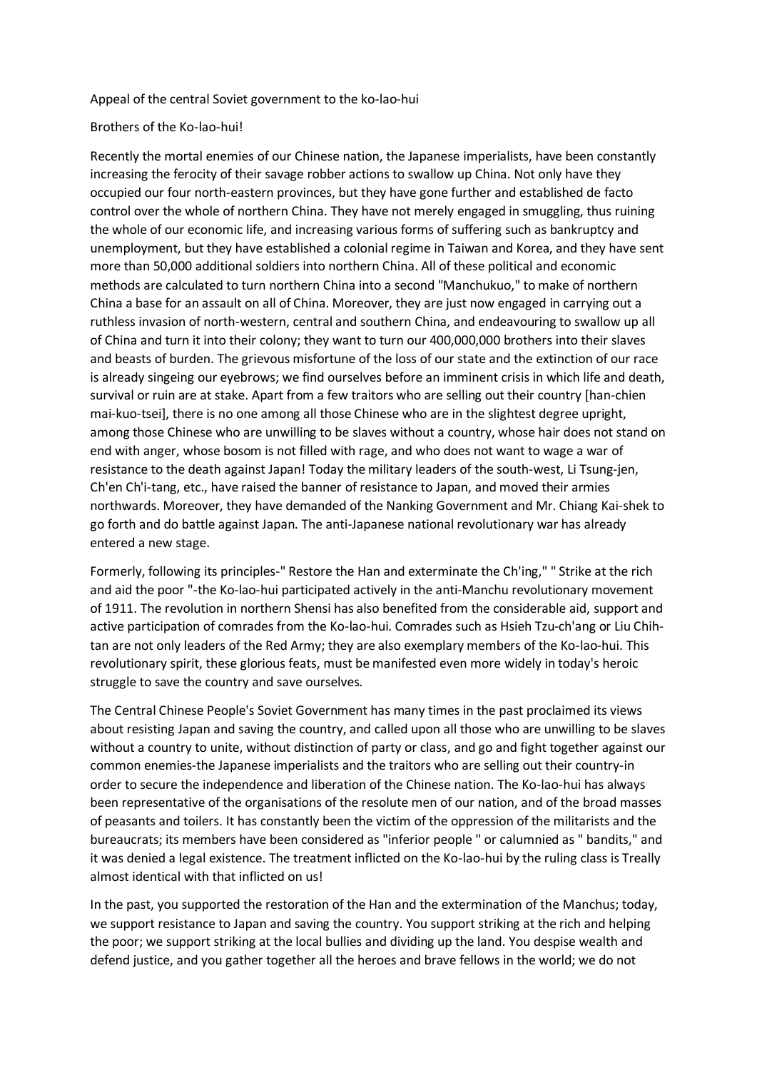## Appeal of the central Soviet government to the ko-lao-hui

## Brothers of the Ko-lao-hui!

Recently the mortal enemies of our Chinese nation, the Japanese imperialists, have been constantly increasing the ferocity of their savage robber actions to swallow up China. Not only have they occupied our four north-eastern provinces, but they have gone further and established de facto control over the whole of northern China. They have not merely engaged in smuggling, thus ruining the whole of our economic life, and increasing various forms of suffering such as bankruptcy and unemployment, but they have established a colonial regime in Taiwan and Korea, and they have sent more than 50,000 additional soldiers into northern China. All of these political and economic methods are calculated to turn northern China into a second "Manchukuo," to make of northern China a base for an assault on all of China. Moreover, they are just now engaged in carrying out a ruthless invasion of north-western, central and southern China, and endeavouring to swallow up all of China and turn it into their colony; they want to turn our 400,000,000 brothers into their slaves and beasts of burden. The grievous misfortune of the loss of our state and the extinction of our race is already singeing our eyebrows; we find ourselves before an imminent crisis in which life and death, survival or ruin are at stake. Apart from a few traitors who are selling out their country [han-chien mai-kuo-tsei], there is no one among all those Chinese who are in the slightest degree upright, among those Chinese who are unwilling to be slaves without a country, whose hair does not stand on end with anger, whose bosom is not filled with rage, and who does not want to wage a war of resistance to the death against Japan! Today the military leaders of the south-west, Li Tsung-jen, Ch'en Ch'i-tang, etc., have raised the banner of resistance to Japan, and moved their armies northwards. Moreover, they have demanded of the Nanking Government and Mr. Chiang Kai-shek to go forth and do battle against Japan. The anti-Japanese national revolutionary war has already entered a new stage.

Formerly, following its principles-" Restore the Han and exterminate the Ch'ing," " Strike at the rich and aid the poor "-the Ko-lao-hui participated actively in the anti-Manchu revolutionary movement of 1911. The revolution in northern Shensi has also benefited from the considerable aid, support and active participation of comrades from the Ko-lao-hui. Comrades such as Hsieh Tzu-ch'ang or Liu Chihtan are not only leaders of the Red Army; they are also exemplary members of the Ko-lao-hui. This revolutionary spirit, these glorious feats, must be manifested even more widely in today's heroic struggle to save the country and save ourselves.

The Central Chinese People's Soviet Government has many times in the past proclaimed its views about resisting Japan and saving the country, and called upon all those who are unwilling to be slaves without a country to unite, without distinction of party or class, and go and fight together against our common enemies-the Japanese imperialists and the traitors who are selling out their country-in order to secure the independence and liberation of the Chinese nation. The Ko-lao-hui has always been representative of the organisations of the resolute men of our nation, and of the broad masses of peasants and toilers. It has constantly been the victim of the oppression of the militarists and the bureaucrats; its members have been considered as "inferior people " or calumnied as " bandits," and it was denied a legal existence. The treatment inflicted on the Ko-lao-hui by the ruling class is Treally almost identical with that inflicted on us!

In the past, you supported the restoration of the Han and the extermination of the Manchus; today, we support resistance to Japan and saving the country. You support striking at the rich and helping the poor; we support striking at the local bullies and dividing up the land. You despise wealth and defend justice, and you gather together all the heroes and brave fellows in the world; we do not